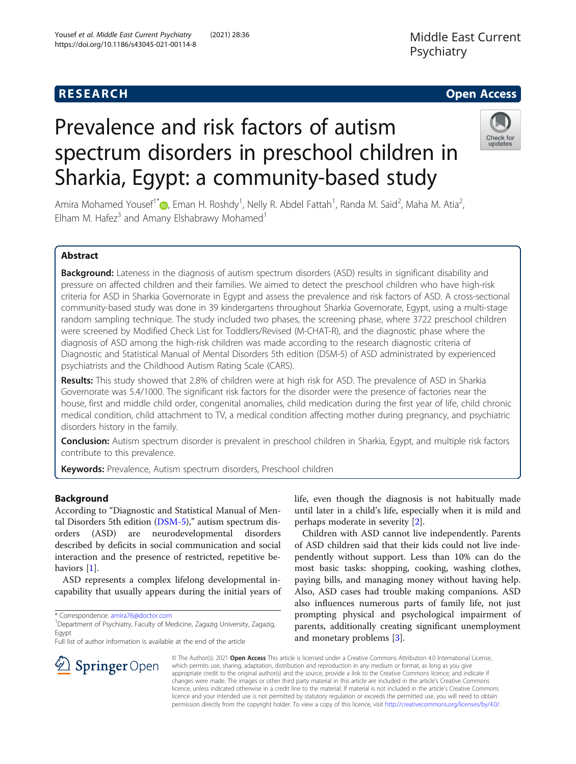Prevalence and risk factors of autism

## **RESEARCH CHEAR CHEAR CHEAR CHEAR CHEAR CHEAR CHEAR CHEAR CHEAR CHEAR CHEAR CHEAR CHEAR CHEAR CHEAR CHEAR CHEAR**

### Middle East Current Psychiatry

# Check for undates

Amira Mohamed Yousef<sup>1\*</sup>®[,](http://orcid.org/0000-0003-2071-2075) Eman H. Roshdy<sup>1</sup>, Nelly R. Abdel Fattah<sup>1</sup>, Randa M. Said<sup>2</sup>, Maha M. Atia<sup>2</sup> , Elham M. Hafe $z^3$  and Amany Elshabrawy Mohamed<sup>1</sup>

spectrum disorders in preschool children in

Sharkia, Egypt: a community-based study

### Abstract

Background: Lateness in the diagnosis of autism spectrum disorders (ASD) results in significant disability and pressure on affected children and their families. We aimed to detect the preschool children who have high-risk criteria for ASD in Sharkia Governorate in Egypt and assess the prevalence and risk factors of ASD. A cross-sectional community-based study was done in 39 kindergartens throughout Sharkia Governorate, Egypt, using a multi-stage random sampling technique. The study included two phases, the screening phase, where 3722 preschool children were screened by Modified Check List for Toddlers/Revised (M-CHAT-R), and the diagnostic phase where the diagnosis of ASD among the high-risk children was made according to the research diagnostic criteria of Diagnostic and Statistical Manual of Mental Disorders 5th edition (DSM-5) of ASD administrated by experienced psychiatrists and the Childhood Autism Rating Scale (CARS).

Results: This study showed that 2.8% of children were at high risk for ASD. The prevalence of ASD in Sharkia Governorate was 5.4/1000. The significant risk factors for the disorder were the presence of factories near the house, first and middle child order, congenital anomalies, child medication during the first year of life, child chronic medical condition, child attachment to TV, a medical condition affecting mother during pregnancy, and psychiatric disorders history in the family.

Conclusion: Autism spectrum disorder is prevalent in preschool children in Sharkia, Egypt, and multiple risk factors contribute to this prevalence.

Keywords: Prevalence, Autism spectrum disorders, Preschool children

#### Background

According to "Diagnostic and Statistical Manual of Mental Disorders 5th edition ([DSM-5](https://en.wikipedia.org/wiki/DSM-5))," autism spectrum disorders (ASD) are neurodevelopmental disorders described by deficits in social communication and social interaction and the presence of restricted, repetitive be-haviors [\[1](#page-12-0)].

ASD represents a complex lifelong developmental incapability that usually appears during the initial years of

 $\mathcal{L}$  Springer Open

Full list of author information is available at the end of the article

life, even though the diagnosis is not habitually made until later in a child's life, especially when it is mild and perhaps moderate in severity [\[2\]](#page-12-0).

Children with ASD cannot live independently. Parents of ASD children said that their kids could not live independently without support. Less than 10% can do the most basic tasks: shopping, cooking, washing clothes, paying bills, and managing money without having help. Also, ASD cases had trouble making companions. ASD also influences numerous parts of family life, not just prompting physical and psychological impairment of parents, additionally creating significant unemployment and monetary problems [[3](#page-12-0)].

© The Author(s). 2021 Open Access This article is licensed under a Creative Commons Attribution 4.0 International License, which permits use, sharing, adaptation, distribution and reproduction in any medium or format, as long as you give appropriate credit to the original author(s) and the source, provide a link to the Creative Commons licence, and indicate if changes were made. The images or other third party material in this article are included in the article's Creative Commons licence, unless indicated otherwise in a credit line to the material. If material is not included in the article's Creative Commons licence and your intended use is not permitted by statutory regulation or exceeds the permitted use, you will need to obtain permission directly from the copyright holder. To view a copy of this licence, visit <http://creativecommons.org/licenses/by/4.0/>.

<sup>\*</sup> Correspondence: [amira76@doctor.com](mailto:amira76@doctor.com) <sup>1</sup>

<sup>&</sup>lt;sup>1</sup> Department of Psychiatry, Faculty of Medicine, Zagazig University, Zagazig, Egypt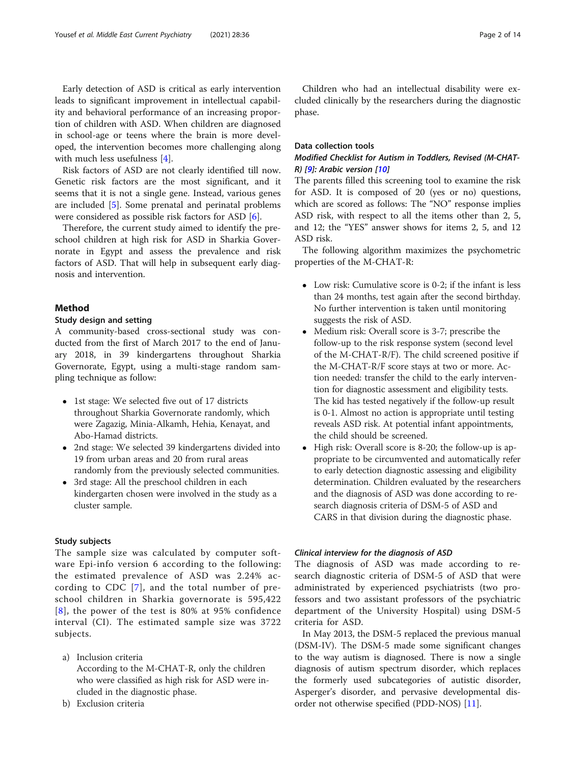Early detection of ASD is critical as early intervention leads to significant improvement in intellectual capability and behavioral performance of an increasing proportion of children with ASD. When children are diagnosed in school-age or teens where the brain is more developed, the intervention becomes more challenging along with much less usefulness [[4\]](#page-12-0).

Risk factors of ASD are not clearly identified till now. Genetic risk factors are the most significant, and it seems that it is not a single gene. Instead, various genes are included [\[5](#page-12-0)]. Some prenatal and perinatal problems were considered as possible risk factors for ASD [[6\]](#page-12-0).

Therefore, the current study aimed to identify the preschool children at high risk for ASD in Sharkia Governorate in Egypt and assess the prevalence and risk factors of ASD. That will help in subsequent early diagnosis and intervention.

#### Method

#### Study design and setting

A community-based cross-sectional study was conducted from the first of March 2017 to the end of January 2018, in 39 kindergartens throughout Sharkia Governorate, Egypt, using a multi-stage random sampling technique as follow:

- 1st stage: We selected five out of 17 districts throughout Sharkia Governorate randomly, which were Zagazig, Minia-Alkamh, Hehia, Kenayat, and Abo-Hamad districts.
- 2nd stage: We selected 39 kindergartens divided into 19 from urban areas and 20 from rural areas randomly from the previously selected communities.
- 3rd stage: All the preschool children in each kindergarten chosen were involved in the study as a cluster sample.

#### Study subjects

The sample size was calculated by computer software Epi-info version 6 according to the following: the estimated prevalence of ASD was 2.24% according to CDC [[7](#page-12-0)], and the total number of preschool children in Sharkia governorate is 595,422 [[8\]](#page-12-0), the power of the test is 80% at 95% confidence interval (CI). The estimated sample size was 3722 subjects.

- a) Inclusion criteria According to the M-CHAT-R, only the children who were classified as high risk for ASD were included in the diagnostic phase.
- b) Exclusion criteria

Children who had an intellectual disability were excluded clinically by the researchers during the diagnostic phase.

#### Data collection tools

#### Modified Checklist for Autism in Toddlers, Revised (M-CHAT-R) [[9\]](#page-12-0): Arabic version [[10](#page-12-0)]

The parents filled this screening tool to examine the risk for ASD. It is composed of 20 (yes or no) questions, which are scored as follows: The "NO" response implies ASD risk, with respect to all the items other than 2, 5, and 12; the "YES" answer shows for items 2, 5, and 12 ASD risk.

The following algorithm maximizes the psychometric properties of the M-CHAT-R:

- Low risk: Cumulative score is 0-2; if the infant is less than 24 months, test again after the second birthday. No further intervention is taken until monitoring suggests the risk of ASD.
- Medium risk: Overall score is 3-7; prescribe the follow-up to the risk response system (second level of the M-CHAT-R/F). The child screened positive if the M-CHAT-R/F score stays at two or more. Action needed: transfer the child to the early intervention for diagnostic assessment and eligibility tests. The kid has tested negatively if the follow-up result is 0-1. Almost no action is appropriate until testing reveals ASD risk. At potential infant appointments, the child should be screened.
- High risk: Overall score is 8-20; the follow-up is appropriate to be circumvented and automatically refer to early detection diagnostic assessing and eligibility determination. Children evaluated by the researchers and the diagnosis of ASD was done according to research diagnosis criteria of DSM-5 of ASD and CARS in that division during the diagnostic phase.

#### Clinical interview for the diagnosis of ASD

The diagnosis of ASD was made according to research diagnostic criteria of DSM-5 of ASD that were administrated by experienced psychiatrists (two professors and two assistant professors of the psychiatric department of the University Hospital) using DSM-5 criteria for ASD.

In May 2013, the DSM-5 replaced the previous manual (DSM-IV). The DSM-5 made some significant changes to the way autism is diagnosed. There is now a single diagnosis of autism spectrum disorder, which replaces the formerly used subcategories of autistic disorder, Asperger's disorder, and pervasive developmental disorder not otherwise specified (PDD-NOS) [[11\]](#page-12-0).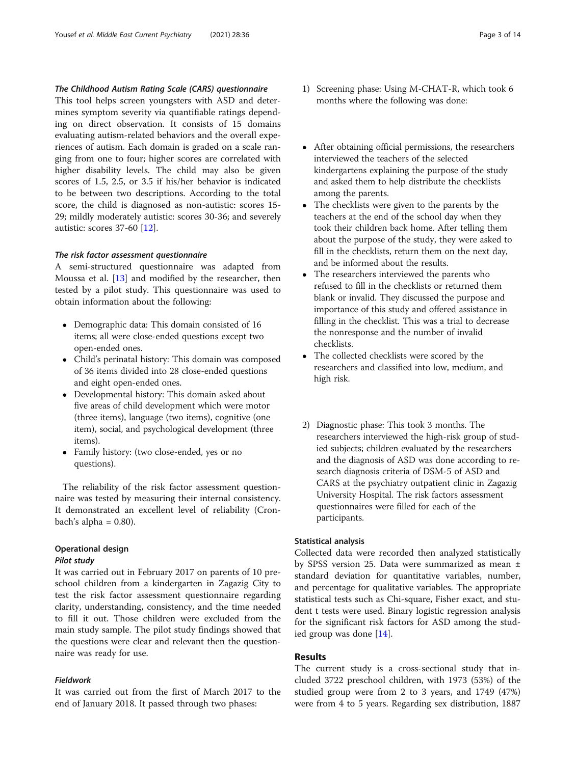#### The Childhood Autism Rating Scale (CARS) questionnaire

This tool helps screen youngsters with ASD and determines symptom severity via quantifiable ratings depending on direct observation. It consists of 15 domains evaluating autism-related behaviors and the overall experiences of autism. Each domain is graded on a scale ranging from one to four; higher scores are correlated with higher disability levels. The child may also be given scores of 1.5, 2.5, or 3.5 if his/her behavior is indicated to be between two descriptions. According to the total score, the child is diagnosed as non-autistic: scores 15- 29; mildly moderately autistic: scores 30-36; and severely autistic: scores 37-60 [[12](#page-12-0)].

#### The risk factor assessment questionnaire

A semi-structured questionnaire was adapted from Moussa et al. [\[13\]](#page-12-0) and modified by the researcher, then tested by a pilot study. This questionnaire was used to obtain information about the following:

- Demographic data: This domain consisted of 16 items; all were close-ended questions except two open-ended ones.
- Child's perinatal history: This domain was composed of 36 items divided into 28 close-ended questions and eight open-ended ones.
- Developmental history: This domain asked about five areas of child development which were motor (three items), language (two items), cognitive (one item), social, and psychological development (three items).
- Family history: (two close-ended, yes or no questions).

The reliability of the risk factor assessment questionnaire was tested by measuring their internal consistency. It demonstrated an excellent level of reliability (Cronbach's alpha =  $0.80$ ).

#### Operational design

#### Pilot study

It was carried out in February 2017 on parents of 10 preschool children from a kindergarten in Zagazig City to test the risk factor assessment questionnaire regarding clarity, understanding, consistency, and the time needed to fill it out. Those children were excluded from the main study sample. The pilot study findings showed that the questions were clear and relevant then the questionnaire was ready for use.

#### Fieldwork

It was carried out from the first of March 2017 to the end of January 2018. It passed through two phases:

- 1) Screening phase: Using M-CHAT-R, which took 6 months where the following was done:
- After obtaining official permissions, the researchers interviewed the teachers of the selected kindergartens explaining the purpose of the study and asked them to help distribute the checklists among the parents.
- The checklists were given to the parents by the teachers at the end of the school day when they took their children back home. After telling them about the purpose of the study, they were asked to fill in the checklists, return them on the next day, and be informed about the results.
- The researchers interviewed the parents who refused to fill in the checklists or returned them blank or invalid. They discussed the purpose and importance of this study and offered assistance in filling in the checklist. This was a trial to decrease the nonresponse and the number of invalid checklists.
- The collected checklists were scored by the researchers and classified into low, medium, and high risk.
- 2) Diagnostic phase: This took 3 months. The researchers interviewed the high-risk group of studied subjects; children evaluated by the researchers and the diagnosis of ASD was done according to research diagnosis criteria of DSM-5 of ASD and CARS at the psychiatry outpatient clinic in Zagazig University Hospital. The risk factors assessment questionnaires were filled for each of the participants.

#### Statistical analysis

Collected data were recorded then analyzed statistically by SPSS version 25. Data were summarized as mean ± standard deviation for quantitative variables, number, and percentage for qualitative variables. The appropriate statistical tests such as Chi-square, Fisher exact, and student t tests were used. Binary logistic regression analysis for the significant risk factors for ASD among the studied group was done [[14\]](#page-12-0).

#### Results

The current study is a cross-sectional study that included 3722 preschool children, with 1973 (53%) of the studied group were from 2 to 3 years, and 1749 (47%) were from 4 to 5 years. Regarding sex distribution, 1887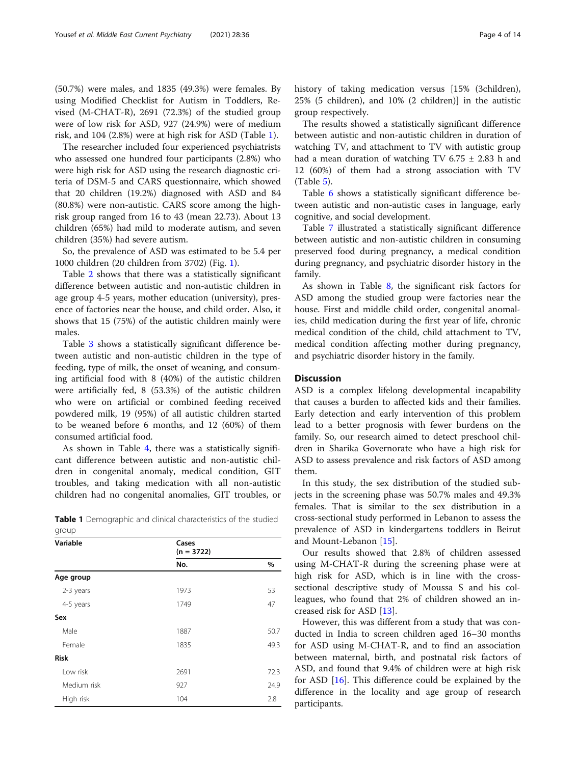(50.7%) were males, and 1835 (49.3%) were females. By using Modified Checklist for Autism in Toddlers, Revised (M-CHAT-R), 2691 (72.3%) of the studied group were of low risk for ASD, 927 (24.9%) were of medium risk, and 104 (2.8%) were at high risk for ASD (Table 1).

The researcher included four experienced psychiatrists who assessed one hundred four participants (2.8%) who were high risk for ASD using the research diagnostic criteria of DSM-5 and CARS questionnaire, which showed that 20 children (19.2%) diagnosed with ASD and 84 (80.8%) were non-autistic. CARS score among the highrisk group ranged from 16 to 43 (mean 22.73). About 13 children (65%) had mild to moderate autism, and seven children (35%) had severe autism.

So, the prevalence of ASD was estimated to be 5.4 per 1000 children (20 children from 3702) (Fig. [1](#page-4-0)).

Table [2](#page-5-0) shows that there was a statistically significant difference between autistic and non-autistic children in age group 4-5 years, mother education (university), presence of factories near the house, and child order. Also, it shows that 15 (75%) of the autistic children mainly were males.

Table [3](#page-7-0) shows a statistically significant difference between autistic and non-autistic children in the type of feeding, type of milk, the onset of weaning, and consuming artificial food with 8 (40%) of the autistic children were artificially fed, 8 (53.3%) of the autistic children who were on artificial or combined feeding received powdered milk, 19 (95%) of all autistic children started to be weaned before 6 months, and 12 (60%) of them consumed artificial food.

As shown in Table [4](#page-7-0), there was a statistically significant difference between autistic and non-autistic children in congenital anomaly, medical condition, GIT troubles, and taking medication with all non-autistic children had no congenital anomalies, GIT troubles, or

|       |  |  | <b>Table 1</b> Demographic and clinical characteristics of the studied |  |  |
|-------|--|--|------------------------------------------------------------------------|--|--|
| group |  |  |                                                                        |  |  |

| Variable    | Cases<br>$(n = 3722)$ |      |  |  |  |
|-------------|-----------------------|------|--|--|--|
|             | No.                   | $\%$ |  |  |  |
| Age group   |                       |      |  |  |  |
| 2-3 years   | 1973                  | 53   |  |  |  |
| 4-5 years   | 1749                  | 47   |  |  |  |
| Sex         |                       |      |  |  |  |
| Male        | 1887                  | 50.7 |  |  |  |
| Female      | 1835                  | 49.3 |  |  |  |
| <b>Risk</b> |                       |      |  |  |  |
| Low risk    | 2691                  | 72.3 |  |  |  |
| Medium risk | 927                   | 24.9 |  |  |  |
| High risk   | 104                   | 2.8  |  |  |  |

history of taking medication versus [15% (3children), 25% (5 children), and 10% (2 children)] in the autistic group respectively.

The results showed a statistically significant difference between autistic and non-autistic children in duration of watching TV, and attachment to TV with autistic group had a mean duration of watching TV 6.75  $\pm$  2.83 h and 12 (60%) of them had a strong association with TV (Table [5\)](#page-8-0).

Table [6](#page-9-0) shows a statistically significant difference between autistic and non-autistic cases in language, early cognitive, and social development.

Table [7](#page-10-0) illustrated a statistically significant difference between autistic and non-autistic children in consuming preserved food during pregnancy, a medical condition during pregnancy, and psychiatric disorder history in the family.

As shown in Table [8](#page-11-0), the significant risk factors for ASD among the studied group were factories near the house. First and middle child order, congenital anomalies, child medication during the first year of life, chronic medical condition of the child, child attachment to TV, medical condition affecting mother during pregnancy, and psychiatric disorder history in the family.

#### **Discussion**

ASD is a complex lifelong developmental incapability that causes a burden to affected kids and their families. Early detection and early intervention of this problem lead to a better prognosis with fewer burdens on the family. So, our research aimed to detect preschool children in Sharika Governorate who have a high risk for ASD to assess prevalence and risk factors of ASD among them.

In this study, the sex distribution of the studied subjects in the screening phase was 50.7% males and 49.3% females. That is similar to the sex distribution in a cross-sectional study performed in Lebanon to assess the prevalence of ASD in kindergartens toddlers in Beirut and Mount-Lebanon [[15\]](#page-12-0).

Our results showed that 2.8% of children assessed using M-CHAT-R during the screening phase were at high risk for ASD, which is in line with the crosssectional descriptive study of Moussa S and his colleagues, who found that 2% of children showed an increased risk for ASD [[13](#page-12-0)].

However, this was different from a study that was conducted in India to screen children aged 16–30 months for ASD using M-CHAT-R, and to find an association between maternal, birth, and postnatal risk factors of ASD, and found that 9.4% of children were at high risk for ASD [[16\]](#page-12-0). This difference could be explained by the difference in the locality and age group of research participants.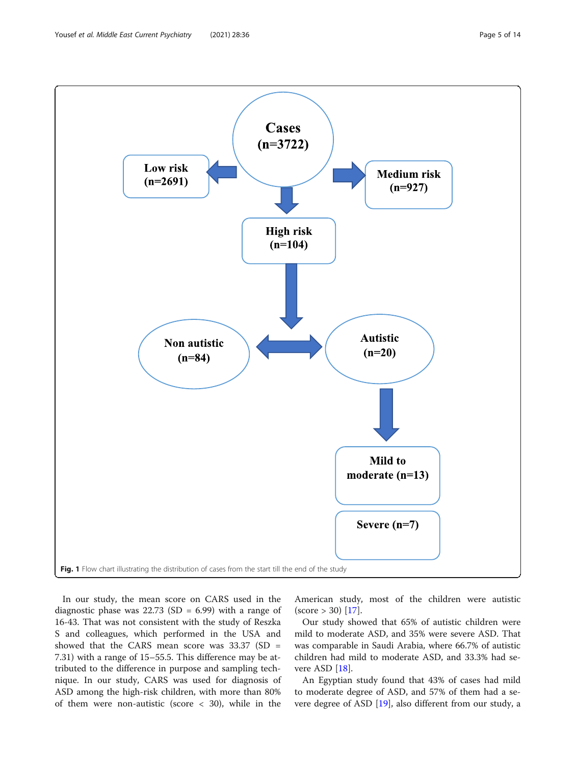<span id="page-4-0"></span>

In our study, the mean score on CARS used in the diagnostic phase was  $22.73$  (SD = 6.99) with a range of 16-43. That was not consistent with the study of Reszka S and colleagues, which performed in the USA and showed that the CARS mean score was  $33.37$  (SD = 7.31) with a range of 15–55.5. This difference may be attributed to the difference in purpose and sampling technique. In our study, CARS was used for diagnosis of ASD among the high-risk children, with more than 80% of them were non-autistic (score < 30), while in the

American study, most of the children were autistic  $(score > 30)$  [[17](#page-12-0)].

Our study showed that 65% of autistic children were mild to moderate ASD, and 35% were severe ASD. That was comparable in Saudi Arabia, where 66.7% of autistic children had mild to moderate ASD, and 33.3% had severe ASD [[18\]](#page-12-0).

An Egyptian study found that 43% of cases had mild to moderate degree of ASD, and 57% of them had a severe degree of ASD [[19](#page-12-0)], also different from our study, a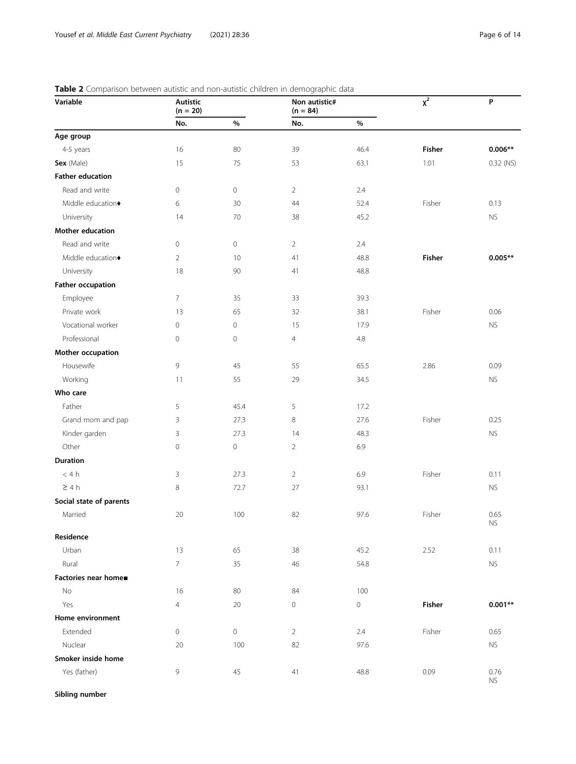| Variable                 | Autistic<br>$(n = 20)$ |                     | Non autistic#<br>$(n = 84)$ |         | $\overline{\chi^2}$ | P                            |
|--------------------------|------------------------|---------------------|-----------------------------|---------|---------------------|------------------------------|
|                          | No.                    | $\%$                | No.                         | $\%$    |                     |                              |
| Age group                |                        |                     |                             |         |                     |                              |
| 4-5 years                | 16                     | 80                  | 39                          | 46.4    | Fisher              | $0.006**$                    |
| Sex (Male)               | 15                     | 75                  | 53                          | 63.1    | 1.01                | 0.32 (NS)                    |
| <b>Father education</b>  |                        |                     |                             |         |                     |                              |
| Read and write           | 0                      | $\circ$             | $\overline{2}$              | 2.4     |                     |                              |
| Middle education+        | 6                      | 30                  | 44                          | 52.4    | Fisher              | 0.13                         |
| University               | 14                     | 70                  | 38                          | 45.2    |                     | <b>NS</b>                    |
| Mother education         |                        |                     |                             |         |                     |                              |
| Read and write           | 0                      | $\mathbb O$         | $\overline{2}$              | 2.4     |                     |                              |
| Middle education+        | $\overline{2}$         | 10                  | 41                          | 48.8    | <b>Fisher</b>       | $0.005**$                    |
| University               | 18                     | 90                  | 41                          | 48.8    |                     |                              |
| <b>Father occupation</b> |                        |                     |                             |         |                     |                              |
| Employee                 | 7                      | 35                  | 33                          | 39.3    |                     |                              |
| Private work             | 13                     | 65                  | 32                          | 38.1    | Fisher              | 0.06                         |
| Vocational worker        | 0                      | $\mathsf{O}\xspace$ | 15                          | 17.9    |                     | <b>NS</b>                    |
| Professional             | 0                      | $\mathbb O$         | 4                           | $4.8\,$ |                     |                              |
| Mother occupation        |                        |                     |                             |         |                     |                              |
| Housewife                | 9                      | 45                  | 55                          | 65.5    | 2.86                | 0.09                         |
| Working                  | 11                     | 55                  | 29                          | 34.5    |                     | <b>NS</b>                    |
| Who care                 |                        |                     |                             |         |                     |                              |
| Father                   | 5                      | 45.4                | 5                           | 17.2    |                     |                              |
| Grand mom and pap        | 3                      | 27.3                | 8                           | 27.6    | Fisher              | 0.25                         |
| Kinder garden            | 3                      | 27.3                | 14                          | 48.3    |                     | <b>NS</b>                    |
| Other                    | 0                      | $\mathbb O$         | $\overline{2}$              | 6.9     |                     |                              |
| <b>Duration</b>          |                        |                     |                             |         |                     |                              |
| < 4 h                    | 3                      | 27.3                | $\overline{2}$              | 6.9     | Fisher              | 0.11                         |
| $\geq 4 h$               | 8                      | 72.7                | 27                          | 93.1    |                     | <b>NS</b>                    |
| Social state of parents  |                        |                     |                             |         |                     |                              |
| Married                  | $20\,$                 | 100                 | 82                          | 97.6    | Fisher              | 0.65<br>$\mathsf{NS}\xspace$ |
| Residence                |                        |                     |                             |         |                     |                              |
| Urban                    | 13                     | 65                  | 38                          | 45.2    | 2.52                | 0.11                         |
| Rural                    | $\overline{7}$         | 35                  | 46                          | 54.8    |                     | <b>NS</b>                    |
| Factories near home■     |                        |                     |                             |         |                     |                              |
| No                       | 16                     | 80                  | 84                          | 100     |                     |                              |
| Yes                      | 4                      | $20\,$              | 0                           | 0       | Fisher              | $0.001**$                    |
| Home environment         |                        |                     |                             |         |                     |                              |
| Extended                 | 0                      | $\circ$             | $\overline{2}$              | 2.4     | Fisher              | 0.65                         |
| Nuclear                  | 20                     | 100                 | 82                          | 97.6    |                     | <b>NS</b>                    |
| Smoker inside home       |                        |                     |                             |         |                     |                              |
| Yes (father)             | 9                      | 45                  | 41                          | 48.8    | 0.09                | 0.76<br><b>NS</b>            |

<span id="page-5-0"></span>

| Table 2 Comparison between autistic and non-autistic children in demographic data |  |  |  |
|-----------------------------------------------------------------------------------|--|--|--|
|                                                                                   |  |  |  |

Sibling number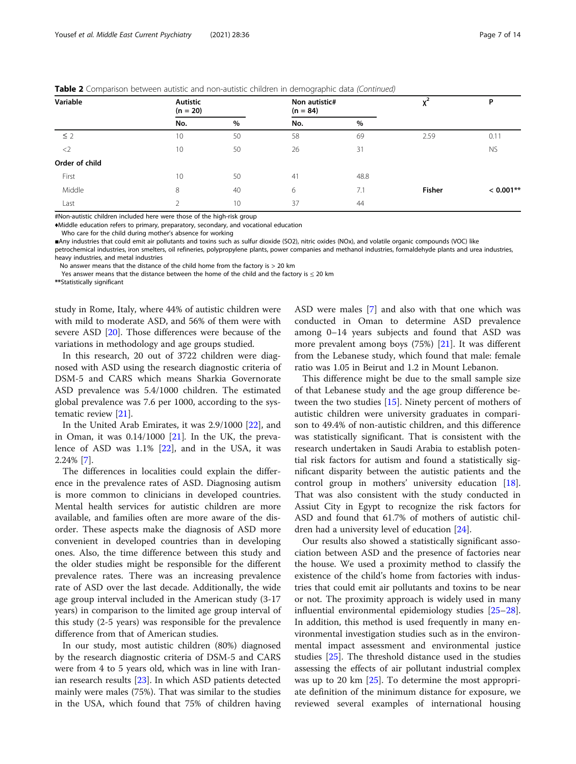|  |  | Table 2 Comparison between autistic and non-autistic children in demographic data (Continued) |  |
|--|--|-----------------------------------------------------------------------------------------------|--|

| Variable       | <b>Autistic</b><br>$(n = 20)$ |      | Non autistic#<br>$(n = 84)$ |      |               | P           |
|----------------|-------------------------------|------|-----------------------------|------|---------------|-------------|
|                | No.                           | $\%$ | No.                         | $\%$ |               |             |
| $\leq$ 2       | 10                            | 50   | 58                          | 69   | 2.59          | 0.11        |
| $\langle$ 2    | 10                            | 50   | 26                          | 31   |               | <b>NS</b>   |
| Order of child |                               |      |                             |      |               |             |
| First          | 10                            | 50   | 41                          | 48.8 |               |             |
| Middle         | 8                             | 40   | 6                           | 7.1  | <b>Fisher</b> | $< 0.001**$ |
| Last           |                               | 10   | 37                          | 44   |               |             |

#Non-autistic children included here were those of the high-risk group

♦Middle education refers to primary, preparatory, secondary, and vocational education

Who care for the child during mother's absence for working

■Any industries that could emit air pollutants and toxins such as sulfur dioxide (SO2), nitric oxides (NOx), and volatile organic compounds (VOC) like

petrochemical industries, iron smelters, oil refineries, polypropylene plants, power companies and methanol industries, formaldehyde plants and urea industries, heavy industries, and metal industries

No answer means that the distance of the child home from the factory is  $> 20$  km

Yes answer means that the distance between the home of the child and the factory is  $\leq$  20 km

\*\*Statistically significant

study in Rome, Italy, where 44% of autistic children were with mild to moderate ASD, and 56% of them were with severe ASD [[20](#page-12-0)]. Those differences were because of the variations in methodology and age groups studied.

In this research, 20 out of 3722 children were diagnosed with ASD using the research diagnostic criteria of DSM-5 and CARS which means Sharkia Governorate ASD prevalence was 5.4/1000 children. The estimated global prevalence was 7.6 per 1000, according to the systematic review [\[21](#page-12-0)].

In the United Arab Emirates, it was 2.9/1000 [\[22\]](#page-13-0), and in Oman, it was  $0.14/1000$  [[21\]](#page-12-0). In the UK, the prevalence of ASD was 1.1% [\[22](#page-13-0)], and in the USA, it was 2.24% [[7](#page-12-0)].

The differences in localities could explain the difference in the prevalence rates of ASD. Diagnosing autism is more common to clinicians in developed countries. Mental health services for autistic children are more available, and families often are more aware of the disorder. These aspects make the diagnosis of ASD more convenient in developed countries than in developing ones. Also, the time difference between this study and the older studies might be responsible for the different prevalence rates. There was an increasing prevalence rate of ASD over the last decade. Additionally, the wide age group interval included in the American study (3-17 years) in comparison to the limited age group interval of this study (2-5 years) was responsible for the prevalence difference from that of American studies.

In our study, most autistic children (80%) diagnosed by the research diagnostic criteria of DSM-5 and CARS were from 4 to 5 years old, which was in line with Iranian research results [[23\]](#page-13-0). In which ASD patients detected mainly were males (75%). That was similar to the studies in the USA, which found that 75% of children having

ASD were males [\[7](#page-12-0)] and also with that one which was conducted in Oman to determine ASD prevalence among 0–14 years subjects and found that ASD was more prevalent among boys (75%) [[21\]](#page-12-0). It was different from the Lebanese study, which found that male: female ratio was 1.05 in Beirut and 1.2 in Mount Lebanon.

This difference might be due to the small sample size of that Lebanese study and the age group difference between the two studies [[15](#page-12-0)]. Ninety percent of mothers of autistic children were university graduates in comparison to 49.4% of non-autistic children, and this difference was statistically significant. That is consistent with the research undertaken in Saudi Arabia to establish potential risk factors for autism and found a statistically significant disparity between the autistic patients and the control group in mothers' university education [\[18](#page-12-0)]. That was also consistent with the study conducted in Assiut City in Egypt to recognize the risk factors for ASD and found that 61.7% of mothers of autistic children had a university level of education [[24](#page-13-0)].

Our results also showed a statistically significant association between ASD and the presence of factories near the house. We used a proximity method to classify the existence of the child's home from factories with industries that could emit air pollutants and toxins to be near or not. The proximity approach is widely used in many influential environmental epidemiology studies [[25](#page-13-0)–[28](#page-13-0)]. In addition, this method is used frequently in many environmental investigation studies such as in the environmental impact assessment and environmental justice studies [\[25\]](#page-13-0). The threshold distance used in the studies assessing the effects of air pollutant industrial complex was up to 20 km [[25](#page-13-0)]. To determine the most appropriate definition of the minimum distance for exposure, we reviewed several examples of international housing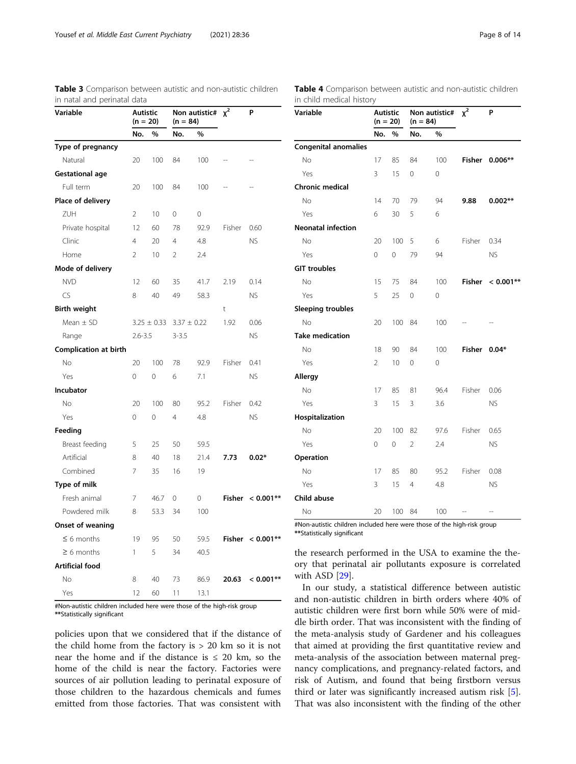| Variable               | <b>Autistic</b><br>$(n = 20)$ |                 | Non autistic#<br>$(n = 84)$ |      | $x^2$  | P                   |  |
|------------------------|-------------------------------|-----------------|-----------------------------|------|--------|---------------------|--|
|                        | No.                           | %               | No.                         | %    |        |                     |  |
| Type of pregnancy      |                               |                 |                             |      |        |                     |  |
| Natural                | 20                            | 100             | 84                          | 100  |        |                     |  |
| <b>Gestational age</b> |                               |                 |                             |      |        |                     |  |
| Full term              | 20                            | 100             | 84                          | 100  |        |                     |  |
| Place of delivery      |                               |                 |                             |      |        |                     |  |
| ZUH                    | $\overline{2}$                | 10              | 0                           | 0    |        |                     |  |
| Private hospital       | 12                            | 60              | 78                          | 92.9 | Fisher | 0.60                |  |
| Clinic                 | $\overline{4}$                | 20              | $\overline{4}$              | 4.8  |        | <b>NS</b>           |  |
| Home                   | $\overline{2}$                | 10              | $\overline{2}$              | 2.4  |        |                     |  |
| Mode of delivery       |                               |                 |                             |      |        |                     |  |
| <b>NVD</b>             | 12                            | 60              | 35                          | 41.7 | 2.19   | 0.14                |  |
| CS                     | 8                             | 40              | 49                          | 58.3 |        | <b>NS</b>           |  |
| <b>Birth weight</b>    |                               |                 |                             |      | t      |                     |  |
| Mean $\pm$ SD          |                               | $3.25 \pm 0.33$ | $3.37 \pm 0.22$             |      | 1.92   | 0.06                |  |
| Range                  | $2.6 - 3.5$                   |                 | $3 - 3.5$                   |      |        | <b>NS</b>           |  |
| Complication at birth  |                               |                 |                             |      |        |                     |  |
| No                     | 20                            | 100             | 78                          | 92.9 | Fisher | 0.41                |  |
| Yes                    | $\overline{O}$                | 0               | 6                           | 7.1  |        | <b>NS</b>           |  |
| Incubator              |                               |                 |                             |      |        |                     |  |
| No                     | 20                            | 100             | 80                          | 95.2 | Fisher | 0.42                |  |
| Yes                    | $\mathbf 0$                   | $\mathbf 0$     | $\overline{4}$              | 4.8  |        | <b>NS</b>           |  |
| Feeding                |                               |                 |                             |      |        |                     |  |
| Breast feeding         | 5                             | 25              | 50                          | 59.5 |        |                     |  |
| Artificial             | 8                             | 40              | 18                          | 21.4 | 7.73   | $0.02*$             |  |
| Combined               | 7                             | 35              | 16                          | 19   |        |                     |  |
| Type of milk           |                               |                 |                             |      |        |                     |  |
| Fresh animal           | 7                             | 46.7            | 0                           | 0    |        | Fisher $< 0.001***$ |  |
| Powdered milk          | 8                             | 53.3            | 34                          | 100  |        |                     |  |
| Onset of weaning       |                               |                 |                             |      |        |                     |  |
| $\leq 6$ months        | 19                            | 95              | 50                          | 59.5 |        | Fisher $< 0.001***$ |  |
| $\geq 6$ months        | 1                             | 5               | 34                          | 40.5 |        |                     |  |
| <b>Artificial food</b> |                               |                 |                             |      |        |                     |  |
| No                     | 8                             | 40              | 73                          | 86.9 | 20.63  | $< 0.001**$         |  |
| Yes                    | 12                            | 60              | 11                          | 13.1 |        |                     |  |

<span id="page-7-0"></span>Table 3 Comparison between autistic and non-autistic children in natal and perinatal data

#Non-autistic children included here were those of the high-risk group \*\*Statistically significant

policies upon that we considered that if the distance of the child home from the factory is  $> 20$  km so it is not near the home and if the distance is  $\leq 20$  km, so the home of the child is near the factory. Factories were sources of air pollution leading to perinatal exposure of those children to the hazardous chemicals and fumes emitted from those factories. That was consistent with

Table 4 Comparison between autistic and non-autistic children in child medical history

| Variable                    |          | <b>Autistic</b><br>$(n = 20)$ |                | Non autistic#<br>$(n = 84)$ |        | P            |  |
|-----------------------------|----------|-------------------------------|----------------|-----------------------------|--------|--------------|--|
|                             | No.      | %                             | No.            | $\%$                        |        |              |  |
| <b>Congenital anomalies</b> |          |                               |                |                             |        |              |  |
| No                          | 17       | 85                            | 84             | 100                         | Fisher | $0.006**$    |  |
| Yes                         | 3        | 15                            | 0              | 0                           |        |              |  |
| Chronic medical             |          |                               |                |                             |        |              |  |
| No                          | 14       | 70                            | 79             | 94                          | 9.88   | $0.002**$    |  |
| Yes                         | 6        | 30                            | 5              | 6                           |        |              |  |
| <b>Neonatal infection</b>   |          |                               |                |                             |        |              |  |
| No                          | 20       | 100                           | 5              | 6                           | Fisher | 0.34         |  |
| Yes                         | $\Omega$ | $\Omega$                      | 79             | 94                          |        | <b>NS</b>    |  |
| <b>GIT troubles</b>         |          |                               |                |                             |        |              |  |
| <b>No</b>                   | 15       | 75                            | 84             | 100                         | Fisher | $< 0.001$ ** |  |
| Yes                         | 5        | 25                            | 0              | 0                           |        |              |  |
| <b>Sleeping troubles</b>    |          |                               |                |                             |        |              |  |
| No                          | 20       | 100                           | 84             | 100                         |        |              |  |
| <b>Take medication</b>      |          |                               |                |                             |        |              |  |
| No                          | 18       | 90                            | 84             | 100                         | Fisher | $0.04*$      |  |
| Yes                         | 2        | 10                            | 0              | 0                           |        |              |  |
| <b>Allergy</b>              |          |                               |                |                             |        |              |  |
| No                          | 17       | 85                            | 81             | 96.4                        | Fisher | 0.06         |  |
| Yes                         | 3        | 15                            | 3              | 3.6                         |        | <b>NS</b>    |  |
| Hospitalization             |          |                               |                |                             |        |              |  |
| No                          | 20       | 100                           | 82             | 97.6                        | Fisher | 0.65         |  |
| Yes                         | 0        | 0                             | $\overline{2}$ | 2.4                         |        | <b>NS</b>    |  |
| Operation                   |          |                               |                |                             |        |              |  |
| No                          | 17       | 85                            | 80             | 95.2                        | Fisher | 0.08         |  |
| Yes                         | 3        | 15                            | $\overline{4}$ | 4.8                         |        | <b>NS</b>    |  |
| Child abuse                 |          |                               |                |                             |        |              |  |
| No                          | 20       | 100                           | 84             | 100                         |        |              |  |

#Non-autistic children included here were those of the high-risk group \*\*Statistically significant

the research performed in the USA to examine the theory that perinatal air pollutants exposure is correlated with ASD [[29\]](#page-13-0).

In our study, a statistical difference between autistic and non-autistic children in birth orders where 40% of autistic children were first born while 50% were of middle birth order. That was inconsistent with the finding of the meta-analysis study of Gardener and his colleagues that aimed at providing the first quantitative review and meta-analysis of the association between maternal pregnancy complications, and pregnancy-related factors, and risk of Autism, and found that being firstborn versus third or later was significantly increased autism risk [\[5](#page-12-0)]. That was also inconsistent with the finding of the other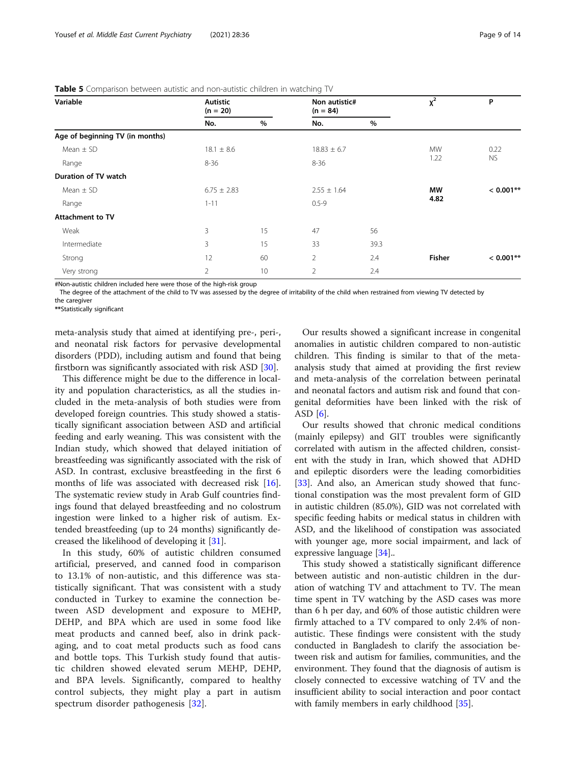| Variable                        | <b>Autistic</b><br>$(n = 20)$ |      | Non autistic#<br>$(n = 84)$ |      | $x^2$     | P           |  |
|---------------------------------|-------------------------------|------|-----------------------------|------|-----------|-------------|--|
|                                 | No.                           | $\%$ | No.                         | %    |           |             |  |
| Age of beginning TV (in months) |                               |      |                             |      |           |             |  |
| Mean $\pm$ SD                   | $18.1 \pm 8.6$                |      | $18.83 \pm 6.7$             |      | <b>MW</b> | 0.22        |  |
| Range                           | 8-36                          |      | $8 - 36$                    |      | 1.22      | <b>NS</b>   |  |
| Duration of TV watch            |                               |      |                             |      |           |             |  |
| Mean $\pm$ SD                   | $6.75 \pm 2.83$               |      | $2.55 \pm 1.64$             |      | <b>MW</b> | $< 0.001**$ |  |
| Range                           | $1 - 11$                      |      | $0.5 - 9$                   |      | 4.82      |             |  |
| <b>Attachment to TV</b>         |                               |      |                             |      |           |             |  |
| Weak                            | 3                             | 15   | 47                          | 56   |           |             |  |
| Intermediate                    | 3                             | 15   | 33                          | 39.3 |           |             |  |
| Strong                          | 12                            | 60   | $\overline{2}$              | 2.4  | Fisher    | $< 0.001**$ |  |
| Very strong                     | $\overline{2}$                | 10   | $\overline{2}$              | 2.4  |           |             |  |

<span id="page-8-0"></span>Table 5 Comparison between autistic and non-autistic children in watching TV

#Non-autistic children included here were those of the high-risk group

The degree of the attachment of the child to TV was assessed by the degree of irritability of the child when restrained from viewing TV detected by

the caregiver

\*\*Statistically significant

meta-analysis study that aimed at identifying pre-, peri-, and neonatal risk factors for pervasive developmental disorders (PDD), including autism and found that being firstborn was significantly associated with risk ASD [[30\]](#page-13-0).

This difference might be due to the difference in locality and population characteristics, as all the studies included in the meta-analysis of both studies were from developed foreign countries. This study showed a statistically significant association between ASD and artificial feeding and early weaning. This was consistent with the Indian study, which showed that delayed initiation of breastfeeding was significantly associated with the risk of ASD. In contrast, exclusive breastfeeding in the first 6 months of life was associated with decreased risk [\[16](#page-12-0)]. The systematic review study in Arab Gulf countries findings found that delayed breastfeeding and no colostrum ingestion were linked to a higher risk of autism. Extended breastfeeding (up to 24 months) significantly decreased the likelihood of developing it [[31\]](#page-13-0).

In this study, 60% of autistic children consumed artificial, preserved, and canned food in comparison to 13.1% of non-autistic, and this difference was statistically significant. That was consistent with a study conducted in Turkey to examine the connection between ASD development and exposure to MEHP, DEHP, and BPA which are used in some food like meat products and canned beef, also in drink packaging, and to coat metal products such as food cans and bottle tops. This Turkish study found that autistic children showed elevated serum MEHP, DEHP, and BPA levels. Significantly, compared to healthy control subjects, they might play a part in autism spectrum disorder pathogenesis [\[32](#page-13-0)].

Our results showed a significant increase in congenital anomalies in autistic children compared to non-autistic children. This finding is similar to that of the metaanalysis study that aimed at providing the first review and meta-analysis of the correlation between perinatal and neonatal factors and autism risk and found that congenital deformities have been linked with the risk of ASD [[6\]](#page-12-0).

Our results showed that chronic medical conditions (mainly epilepsy) and GIT troubles were significantly correlated with autism in the affected children, consistent with the study in Iran, which showed that ADHD and epileptic disorders were the leading comorbidities [[33\]](#page-13-0). And also, an American study showed that functional constipation was the most prevalent form of GID in autistic children (85.0%), GID was not correlated with specific feeding habits or medical status in children with ASD, and the likelihood of constipation was associated with younger age, more social impairment, and lack of expressive language [\[34\]](#page-13-0)..

This study showed a statistically significant difference between autistic and non-autistic children in the duration of watching TV and attachment to TV. The mean time spent in TV watching by the ASD cases was more than 6 h per day, and 60% of those autistic children were firmly attached to a TV compared to only 2.4% of nonautistic. These findings were consistent with the study conducted in Bangladesh to clarify the association between risk and autism for families, communities, and the environment. They found that the diagnosis of autism is closely connected to excessive watching of TV and the insufficient ability to social interaction and poor contact with family members in early childhood [\[35](#page-13-0)].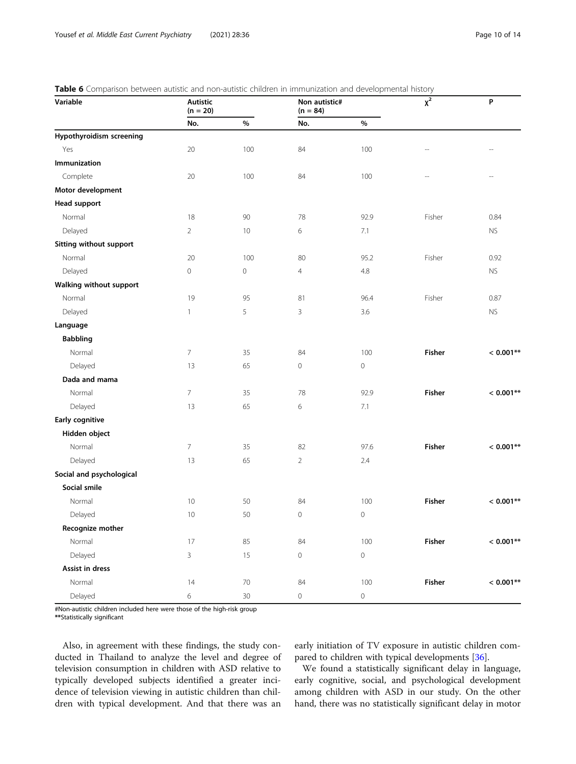<span id="page-9-0"></span>

|  |  | Table 6 Comparison between autistic and non-autistic children in immunization and developmental history |  |  |  |  |
|--|--|---------------------------------------------------------------------------------------------------------|--|--|--|--|
|  |  |                                                                                                         |  |  |  |  |

| Variable                 | <b>Autistic</b><br>$(n = 20)$ |                     | Non autistic#<br>$(n = 84)$ |                     | $\overline{x^2}$         | $\boldsymbol{\mathsf{P}}$ |
|--------------------------|-------------------------------|---------------------|-----------------------------|---------------------|--------------------------|---------------------------|
|                          | No.                           | $\%$                | No.                         | $\%$                |                          |                           |
| Hypothyroidism screening |                               |                     |                             |                     |                          |                           |
| Yes                      | 20                            | 100                 | 84                          | 100                 | $\overline{a}$           |                           |
| Immunization             |                               |                     |                             |                     |                          |                           |
| Complete                 | 20                            | 100                 | 84                          | 100                 | $\overline{\phantom{0}}$ | $\overline{a}$            |
| Motor development        |                               |                     |                             |                     |                          |                           |
| <b>Head support</b>      |                               |                     |                             |                     |                          |                           |
| Normal                   | 18                            | 90                  | 78                          | 92.9                | Fisher                   | 0.84                      |
| Delayed                  | $\overline{2}$                | 10                  | 6                           | 7.1                 |                          | <b>NS</b>                 |
| Sitting without support  |                               |                     |                             |                     |                          |                           |
| Normal                   | 20                            | 100                 | 80                          | 95.2                | Fisher                   | 0.92                      |
| Delayed                  | $\mathbf 0$                   | $\mathsf{O}\xspace$ | $\overline{4}$              | 4.8                 |                          | <b>NS</b>                 |
| Walking without support  |                               |                     |                             |                     |                          |                           |
| Normal                   | 19                            | 95                  | 81                          | 96.4                | Fisher                   | 0.87                      |
| Delayed                  | $\mathbf{1}$                  | 5                   | 3                           | 3.6                 |                          | <b>NS</b>                 |
| Language                 |                               |                     |                             |                     |                          |                           |
| <b>Babbling</b>          |                               |                     |                             |                     |                          |                           |
| Normal                   | $\overline{7}$                | 35                  | 84                          | 100                 | <b>Fisher</b>            | $< 0.001**$               |
| Delayed                  | 13                            | 65                  | $\mathsf{O}\xspace$         | $\mathbf 0$         |                          |                           |
| Dada and mama            |                               |                     |                             |                     |                          |                           |
| Normal                   | $\overline{7}$                | 35                  | 78                          | 92.9                | <b>Fisher</b>            | $< 0.001**$               |
| Delayed                  | 13                            | 65                  | 6                           | 7.1                 |                          |                           |
| Early cognitive          |                               |                     |                             |                     |                          |                           |
| Hidden object            |                               |                     |                             |                     |                          |                           |
| Normal                   | $\overline{7}$                | 35                  | 82                          | 97.6                | <b>Fisher</b>            | $< 0.001**$               |
| Delayed                  | 13                            | 65                  | $\overline{2}$              | 2.4                 |                          |                           |
| Social and psychological |                               |                     |                             |                     |                          |                           |
| Social smile             |                               |                     |                             |                     |                          |                           |
| Normal                   | 10                            | 50                  | 84                          | 100                 | Fisher                   | $< 0.001**$               |
| Delayed                  | 10                            | 50                  | $\mathbf 0$                 | $\mathbf 0$         |                          |                           |
| Recognize mother         |                               |                     |                             |                     |                          |                           |
| Normal                   | 17                            | 85                  | 84                          | 100                 | Fisher                   | $< 0.001**$               |
| Delayed                  | $\overline{3}$                | 15                  | $\mathsf{O}\xspace$         | $\mathsf O$         |                          |                           |
| Assist in dress          |                               |                     |                             |                     |                          |                           |
| Normal                   | 14                            | $70\,$              | $84\,$                      | 100                 | Fisher                   | $< 0.001**$               |
| Delayed                  | $\,$ 6 $\,$                   | 30 <sup>°</sup>     | $\mathsf{O}\xspace$         | $\mathsf{O}\xspace$ |                          |                           |

#Non-autistic children included here were those of the high-risk group \*\*Statistically significant

Also, in agreement with these findings, the study conducted in Thailand to analyze the level and degree of television consumption in children with ASD relative to typically developed subjects identified a greater incidence of television viewing in autistic children than children with typical development. And that there was an

early initiation of TV exposure in autistic children compared to children with typical developments [\[36\]](#page-13-0).

We found a statistically significant delay in language, early cognitive, social, and psychological development among children with ASD in our study. On the other hand, there was no statistically significant delay in motor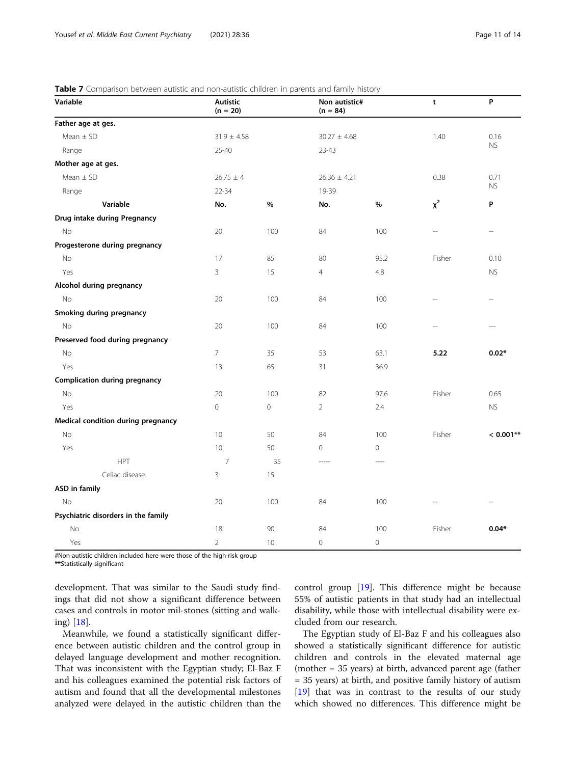#### <span id="page-10-0"></span>Table 7 Comparison between autistic and non-autistic children in parents and family history

| companion secured<br>Variable        | <b>Autistic</b><br>$(n = 20)$ |             | $rac{1}{2}$<br>Non autistic#<br>$(n = 84)$ | .           | t        | P              |
|--------------------------------------|-------------------------------|-------------|--------------------------------------------|-------------|----------|----------------|
| Father age at ges.                   |                               |             |                                            |             |          |                |
| Mean $\pm$ SD                        | $31.9 \pm 4.58$               |             | $30.27 \pm 4.68$                           |             | 1.40     | 0.16           |
| Range                                | $25 - 40$                     |             | $23 - 43$                                  |             |          | <b>NS</b>      |
| Mother age at ges.                   |                               |             |                                            |             |          |                |
| Mean $\pm$ SD                        | $26.75 \pm 4$                 |             | $26.36 \pm 4.21$                           |             | 0.38     | 0.71           |
| Range                                | $22 - 34$                     |             | 19-39                                      |             |          | <b>NS</b>      |
| Variable                             | No.                           | $\%$        | No.                                        | $\%$        | $\chi^2$ | P              |
| Drug intake during Pregnancy         |                               |             |                                            |             |          |                |
| No                                   | 20                            | 100         | 84                                         | 100         |          | $\overline{a}$ |
| Progesterone during pregnancy        |                               |             |                                            |             |          |                |
| No                                   | 17                            | 85          | 80                                         | 95.2        | Fisher   | 0.10           |
| Yes                                  | 3                             | 15          | $\overline{4}$                             | 4.8         |          | <b>NS</b>      |
| Alcohol during pregnancy             |                               |             |                                            |             |          |                |
| No                                   | 20                            | 100         | 84                                         | 100         |          | $\overline{a}$ |
| Smoking during pregnancy             |                               |             |                                            |             |          |                |
| No                                   | 20                            | 100         | 84                                         | 100         |          |                |
| Preserved food during pregnancy      |                               |             |                                            |             |          |                |
| No                                   | $\overline{7}$                | 35          | 53                                         | 63.1        | 5.22     | $0.02*$        |
| Yes                                  | 13                            | 65          | 31                                         | 36.9        |          |                |
| <b>Complication during pregnancy</b> |                               |             |                                            |             |          |                |
| No                                   | 20                            | 100         | 82                                         | 97.6        | Fisher   | 0.65           |
| Yes                                  | 0                             | $\mathbf 0$ | $\overline{2}$                             | 2.4         |          | ${\sf NS}$     |
| Medical condition during pregnancy   |                               |             |                                            |             |          |                |
| No                                   | 10                            | 50          | 84                                         | 100         | Fisher   | $< 0.001**$    |
| Yes                                  | 10                            | 50          | $\mathsf{O}\xspace$                        | $\mathbf 0$ |          |                |
| <b>HPT</b>                           | $\overline{7}$                | 35          |                                            | $- - - -$   |          |                |
| Celiac disease                       | 3                             | 15          |                                            |             |          |                |
| <b>ASD</b> in family                 |                               |             |                                            |             |          |                |
| <b>No</b>                            | 20                            | 100         | 84                                         | 100         |          |                |
| Psychiatric disorders in the family  |                               |             |                                            |             |          |                |
| No                                   | 18                            | 90          | 84                                         | 100         | Fisher   | $0.04*$        |
| Yes                                  | $\overline{2}$                | 10          | $\mathbf 0$                                | $\mathbf 0$ |          |                |

#Non-autistic children included here were those of the high-risk group

\*\*Statistically significant

development. That was similar to the Saudi study findings that did not show a significant difference between cases and controls in motor mil-stones (sitting and walking) [[18](#page-12-0)].

Meanwhile, we found a statistically significant difference between autistic children and the control group in delayed language development and mother recognition. That was inconsistent with the Egyptian study; El-Baz F and his colleagues examined the potential risk factors of autism and found that all the developmental milestones analyzed were delayed in the autistic children than the control group [\[19](#page-12-0)]. This difference might be because 55% of autistic patients in that study had an intellectual disability, while those with intellectual disability were excluded from our research.

The Egyptian study of El-Baz F and his colleagues also showed a statistically significant difference for autistic children and controls in the elevated maternal age (mother = 35 years) at birth, advanced parent age (father = 35 years) at birth, and positive family history of autism [[19\]](#page-12-0) that was in contrast to the results of our study which showed no differences. This difference might be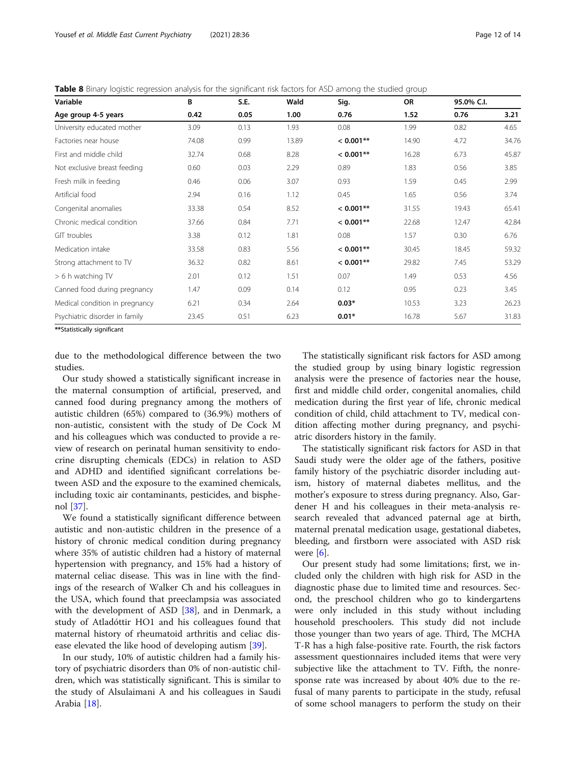<span id="page-11-0"></span>Table 8 Binary logistic regression analysis for the significant risk factors for ASD among the studied group

| Variable<br>Age group 4-5 years | B<br>0.42 | S.E.<br>0.05 | Wald<br>1.00 | Sig.<br>0.76 | OR<br>1.52 | 95.0% C.I. |       |
|---------------------------------|-----------|--------------|--------------|--------------|------------|------------|-------|
|                                 |           |              |              |              |            | 0.76       | 3.21  |
| University educated mother      | 3.09      | 0.13         | 1.93         | 0.08         | 1.99       | 0.82       | 4.65  |
| Factories near house            | 74.08     | 0.99         | 13.89        | $< 0.001**$  | 14.90      | 4.72       | 34.76 |
| First and middle child          | 32.74     | 0.68         | 8.28         | $< 0.001**$  | 16.28      | 6.73       | 45.87 |
| Not exclusive breast feeding    | 0.60      | 0.03         | 2.29         | 0.89         | 1.83       | 0.56       | 3.85  |
| Fresh milk in feeding           | 0.46      | 0.06         | 3.07         | 0.93         | 1.59       | 0.45       | 2.99  |
| Artificial food                 | 2.94      | 0.16         | 1.12         | 0.45         | 1.65       | 0.56       | 3.74  |
| Congenital anomalies            | 33.38     | 0.54         | 8.52         | $< 0.001**$  | 31.55      | 19.43      | 65.41 |
| Chronic medical condition       | 37.66     | 0.84         | 7.71         | $< 0.001**$  | 22.68      | 12.47      | 42.84 |
| GIT troubles                    | 3.38      | 0.12         | 1.81         | 0.08         | 1.57       | 0.30       | 6.76  |
| Medication intake               | 33.58     | 0.83         | 5.56         | $< 0.001**$  | 30.45      | 18.45      | 59.32 |
| Strong attachment to TV         | 36.32     | 0.82         | 8.61         | $< 0.001**$  | 29.82      | 7.45       | 53.29 |
| > 6 h watching TV               | 2.01      | 0.12         | 1.51         | 0.07         | 1.49       | 0.53       | 4.56  |
| Canned food during pregnancy    | 1.47      | 0.09         | 0.14         | 0.12         | 0.95       | 0.23       | 3.45  |
| Medical condition in pregnancy  | 6.21      | 0.34         | 2.64         | $0.03*$      | 10.53      | 3.23       | 26.23 |
| Psychiatric disorder in family  | 23.45     | 0.51         | 6.23         | $0.01*$      | 16.78      | 5.67       | 31.83 |

\*\*Statistically significant

due to the methodological difference between the two studies.

Our study showed a statistically significant increase in the maternal consumption of artificial, preserved, and canned food during pregnancy among the mothers of autistic children (65%) compared to (36.9%) mothers of non-autistic, consistent with the study of De Cock M and his colleagues which was conducted to provide a review of research on perinatal human sensitivity to endocrine disrupting chemicals (EDCs) in relation to ASD and ADHD and identified significant correlations between ASD and the exposure to the examined chemicals, including toxic air contaminants, pesticides, and bisphenol [[37\]](#page-13-0).

We found a statistically significant difference between autistic and non-autistic children in the presence of a history of chronic medical condition during pregnancy where 35% of autistic children had a history of maternal hypertension with pregnancy, and 15% had a history of maternal celiac disease. This was in line with the findings of the research of Walker Ch and his colleagues in the USA, which found that preeclampsia was associated with the development of ASD [\[38\]](#page-13-0), and in Denmark, a study of Atladóttir HO1 and his colleagues found that maternal history of rheumatoid arthritis and celiac disease elevated the like hood of developing autism [[39\]](#page-13-0).

In our study, 10% of autistic children had a family history of psychiatric disorders than 0% of non-autistic children, which was statistically significant. This is similar to the study of Alsulaimani A and his colleagues in Saudi Arabia [[18\]](#page-12-0).

The statistically significant risk factors for ASD among the studied group by using binary logistic regression analysis were the presence of factories near the house, first and middle child order, congenital anomalies, child medication during the first year of life, chronic medical condition of child, child attachment to TV, medical condition affecting mother during pregnancy, and psychiatric disorders history in the family.

The statistically significant risk factors for ASD in that Saudi study were the older age of the fathers, positive family history of the psychiatric disorder including autism, history of maternal diabetes mellitus, and the mother's exposure to stress during pregnancy. Also, Gardener H and his colleagues in their meta-analysis research revealed that advanced paternal age at birth, maternal prenatal medication usage, gestational diabetes, bleeding, and firstborn were associated with ASD risk were [\[6](#page-12-0)].

Our present study had some limitations; first, we included only the children with high risk for ASD in the diagnostic phase due to limited time and resources. Second, the preschool children who go to kindergartens were only included in this study without including household preschoolers. This study did not include those younger than two years of age. Third, The MCHA T-R has a high false-positive rate. Fourth, the risk factors assessment questionnaires included items that were very subjective like the attachment to TV. Fifth, the nonresponse rate was increased by about 40% due to the refusal of many parents to participate in the study, refusal of some school managers to perform the study on their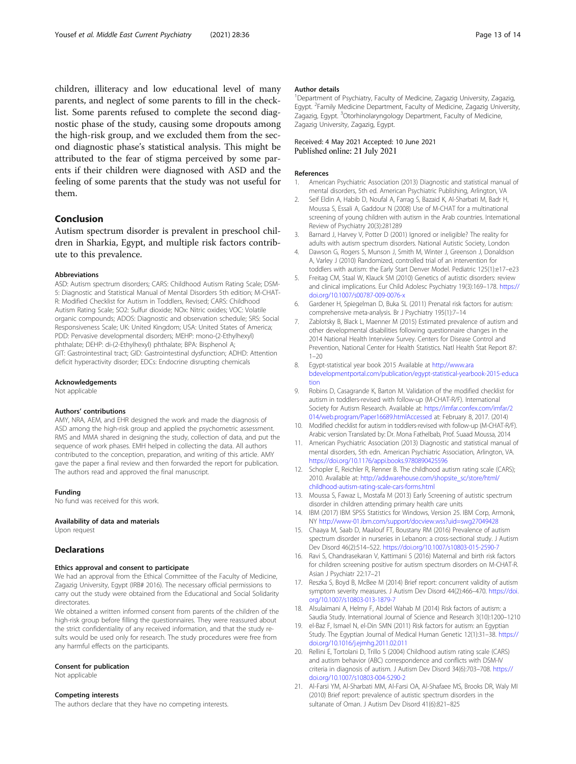<span id="page-12-0"></span>children, illiteracy and low educational level of many parents, and neglect of some parents to fill in the checklist. Some parents refused to complete the second diagnostic phase of the study, causing some dropouts among the high-risk group, and we excluded them from the second diagnostic phase's statistical analysis. This might be attributed to the fear of stigma perceived by some parents if their children were diagnosed with ASD and the feeling of some parents that the study was not useful for them.

#### Conclusion

Autism spectrum disorder is prevalent in preschool children in Sharkia, Egypt, and multiple risk factors contribute to this prevalence.

#### Abbreviations

ASD: Autism spectrum disorders; CARS: Childhood Autism Rating Scale; DSM-5: Diagnostic and Statistical Manual of Mental Disorders 5th edition; M-CHAT-R: Modified Checklist for Autism in Toddlers, Revised; CARS: Childhood Autism Rating Scale; SO2: Sulfur dioxide; NOx: Nitric oxides; VOC: Volatile organic compounds; ADOS: Diagnostic and observation schedule; SRS: Social Responsiveness Scale; UK: United Kingdom; USA: United States of America; PDD: Pervasive developmental disorders; MEHP: mono-(2-Ethylhexyl) phthalate; DEHP: di-(2-Ethylhexyl) phthalate; BPA: Bisphenol A; GIT: Gastrointestinal tract; GID: Gastrointestinal dysfunction; ADHD: Attention deficit hyperactivity disorder; EDCs: Endocrine disrupting chemicals

#### Acknowledgements

Not applicable

#### Authors' contributions

AMY, NRA, AEM, and EHR designed the work and made the diagnosis of ASD among the high-risk group and applied the psychometric assessment. RMS and MMA shared in designing the study, collection of data, and put the sequence of work phases. EMH helped in collecting the data. All authors contributed to the conception, preparation, and writing of this article. AMY gave the paper a final review and then forwarded the report for publication. The authors read and approved the final manuscript.

#### Funding

No fund was received for this work.

#### Availability of data and materials

Upon request

#### **Declarations**

#### Ethics approval and consent to participate

We had an approval from the Ethical Committee of the Faculty of Medicine, Zagazig University, Egypt (IRB# 2016). The necessary official permissions to carry out the study were obtained from the Educational and Social Solidarity directorates.

We obtained a written informed consent from parents of the children of the high-risk group before filling the questionnaires. They were reassured about the strict confidentiality of any received information, and that the study results would be used only for research. The study procedures were free from any harmful effects on the participants.

#### Consent for publication

Not applicable

#### Competing interests

The authors declare that they have no competing interests.

#### Author details

<sup>1</sup>Department of Psychiatry, Faculty of Medicine, Zagazig University, Zagazig Egypt. <sup>2</sup> Family Medicine Department, Faculty of Medicine, Zagazig University Zagazig, Egypt. <sup>3</sup>Otorhinolaryngology Department, Faculty of Medicine, Zagazig University, Zagazig, Egypt.

# Received: 4 May 2021 Accepted: 10 June 2021<br>Published online: 21 July 2021

#### References

- 1. American Psychiatric Association (2013) Diagnostic and statistical manual of mental disorders, 5th ed. American Psychiatric Publishing, Arlington, VA
- 2. Seif Eldin A, Habib D, Noufal A, Farrag S, Bazaid K, Al-Sharbati M, Badr H, Moussa S, Essali A, Gaddour N (2008) Use of M-CHAT for a multinational screening of young children with autism in the Arab countries. International Review of Psychiatry 20(3):281289
- 3. Barnard J, Harvey V, Potter D (2001) Ignored or ineligible? The reality for adults with autism spectrum disorders. National Autistic Society, London
- 4. Dawson G, Rogers S, Munson J, Smith M, Winter J, Greenson J, Donaldson A, Varley J (2010) Randomized, controlled trial of an intervention for toddlers with autism: the Early Start Denver Model. Pediatric 125(1):e17–e23
- 5. Freitag CM, Staal W, Klauck SM (2010) Genetics of autistic disorders: review and clinical implications. Eur Child Adolesc Psychiatry 19(3):169–178. [https://](https://doi.org/10.1007/s00787-009-0076-x) [doi.org/10.1007/s00787-009-0076-x](https://doi.org/10.1007/s00787-009-0076-x)
- 6. Gardener H, Spiegelman D, Buka SL (2011) Prenatal risk factors for autism: comprehensive meta-analysis. Br J Psychiatry 195(1):7–14
- 7. Zablotsky B, Black L, Maenner M (2015) Estimated prevalence of autism and other developmental disabilities following questionnaire changes in the 2014 National Health Interview Survey. Centers for Disease Control and Prevention, National Center for Health Statistics. Natl Health Stat Report 87:  $1 - 20$
- 8. Egypt-statistical year book 2015 Available at [http://www.ara](http://www.arabdevelopmentportal.com/publication/egypt-statistical-yearbook-2015-education) [bdevelopmentportal.com/publication/egypt-statistical-yearbook-2015-educa](http://www.arabdevelopmentportal.com/publication/egypt-statistical-yearbook-2015-education) [tion](http://www.arabdevelopmentportal.com/publication/egypt-statistical-yearbook-2015-education)
- 9. Robins D, Casagrande K, Barton M. Validation of the modified checklist for autism in toddlers-revised with follow-up (M-CHAT-R/F). International Society for Autism Research. Available at: [https://imfar.confex.com/imfar/2](https://imfar.confex.com/imfar/2014/web.program/Paper16689.htmlAccessed) [014/web.program/Paper16689.htmlAccessed](https://imfar.confex.com/imfar/2014/web.program/Paper16689.htmlAccessed) at: February 8, 2017. (2014)
- 10. Modified checklist for autism in toddlers-revised with follow-up (M-CHAT-R/F). Arabic version Translated by: Dr. Mona Fathelbab, Prof. Suaad Moussa, 2014
- 11. American Psychiatric Association (2013) Diagnostic and statistical manual of mental disorders, 5th edn. American Psychiatric Association, Arlington, VA. <https://doi.org/10.1176/appi.books.9780890425596>
- 12. Schopler E, Reichler R, Renner B. The childhood autism rating scale (CARS); 2010. Available at: [http://addwarehouse.com/shopsite\\_sc/store/html/](http://addwarehouse.com/shopsite_sc/store/html/childhood-autism-rating-scale-cars-forms.html) [childhood-autism-rating-scale-cars-forms.html](http://addwarehouse.com/shopsite_sc/store/html/childhood-autism-rating-scale-cars-forms.html)
- 13. Moussa S, Fawaz L, Mostafa M (2013) Early Screening of autistic spectrum disorder in children attending primary health care units
- 14. IBM (2017) IBM SPSS Statistics for Windows, Version 25. IBM Corp, Armonk, NY <http://www-01.ibm.com/support/docview.wss?uid=swg27049428>
- 15. Chaaya M, Saab D, Maalouf FT, Boustany RM (2016) Prevalence of autism spectrum disorder in nurseries in Lebanon: a cross-sectional study. J Autism Dev Disord 46(2):514–522. <https://doi.org/10.1007/s10803-015-2590-7>
- 16. Ravi S, Chandrasekaran V, Kattimani S (2016) Maternal and birth risk factors for children screening positive for autism spectrum disorders on M-CHAT-R. Asian J Psychiatr 22:17–21
- 17. Reszka S, Boyd B, McBee M (2014) Brief report: concurrent validity of autism symptom severity measures. J Autism Dev Disord 44(2):466-470. [https://doi.](https://doi.org/10.1007/s10803-013-1879-7) [org/10.1007/s10803-013-1879-7](https://doi.org/10.1007/s10803-013-1879-7)
- 18. Alsulaimani A, Helmy F, Abdel Wahab M (2014) Risk factors of autism: a Saudia Study. International Journal of Science and Research 3(10):1200–1210
- 19. el-Baz F, Ismael N, el-Din SMN (2011) Risk factors for autism: an Egyptian Study. The Egyptian Journal of Medical Human Genetic 12(1):31–38. [https://](https://doi.org/10.1016/j.ejmhg.2011.02.011) [doi.org/10.1016/j.ejmhg.2011.02.011](https://doi.org/10.1016/j.ejmhg.2011.02.011)
- 20. Rellini E, Tortolani D, Trillo S (2004) Childhood autism rating scale (CARS) and autism behavior (ABC) correspondence and conflicts with DSM-IV criteria in diagnosis of autism. J Autism Dev Disord 34(6):703–708. [https://](https://doi.org/10.1007/s10803-004-5290-2) [doi.org/10.1007/s10803-004-5290-2](https://doi.org/10.1007/s10803-004-5290-2)
- 21. Al-Farsi YM, Al-Sharbati MM, Al-Farsi OA, Al-Shafaee MS, Brooks DR, Waly MI (2010) Brief report: prevalence of autistic spectrum disorders in the sultanate of Oman. J Autism Dev Disord 41(6):821–825